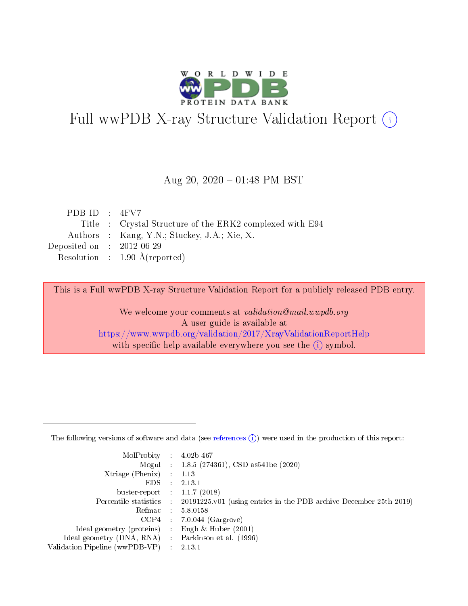

# Full wwPDB X-ray Structure Validation Report (i)

#### Aug 20,  $2020 - 01:48$  PM BST

| PDB ID : $4FV7$             |                                                          |
|-----------------------------|----------------------------------------------------------|
|                             | Title : Crystal Structure of the ERK2 complexed with E94 |
|                             | Authors : Kang, Y.N.; Stuckey, J.A.; Xie, X.             |
| Deposited on : $2012-06-29$ |                                                          |
|                             | Resolution : $1.90 \text{ Å}$ (reported)                 |

This is a Full wwPDB X-ray Structure Validation Report for a publicly released PDB entry.

We welcome your comments at validation@mail.wwpdb.org A user guide is available at <https://www.wwpdb.org/validation/2017/XrayValidationReportHelp> with specific help available everywhere you see the  $(i)$  symbol.

The following versions of software and data (see [references](https://www.wwpdb.org/validation/2017/XrayValidationReportHelp#references)  $(1)$ ) were used in the production of this report:

| $MolProbability$ 4.02b-467     |   |                                                                                            |
|--------------------------------|---|--------------------------------------------------------------------------------------------|
|                                |   | Mogul : $1.8.5$ (274361), CSD as 541be (2020)                                              |
| $X$ triage (Phenix) :          |   | 1.13                                                                                       |
| EDS.                           | ÷ | 2.13.1                                                                                     |
| buster-report : $1.1.7(2018)$  |   |                                                                                            |
|                                |   | Percentile statistics : 20191225.v01 (using entries in the PDB archive December 25th 2019) |
| Refmac :                       |   | 5.8.0158                                                                                   |
| CCP4                           |   | $7.0.044$ (Gargrove)                                                                       |
| Ideal geometry (proteins)      |   | Engh $\&$ Huber (2001)                                                                     |
| Ideal geometry (DNA, RNA) :    |   | Parkinson et al. (1996)                                                                    |
| Validation Pipeline (wwPDB-VP) | ÷ | 2.13.1                                                                                     |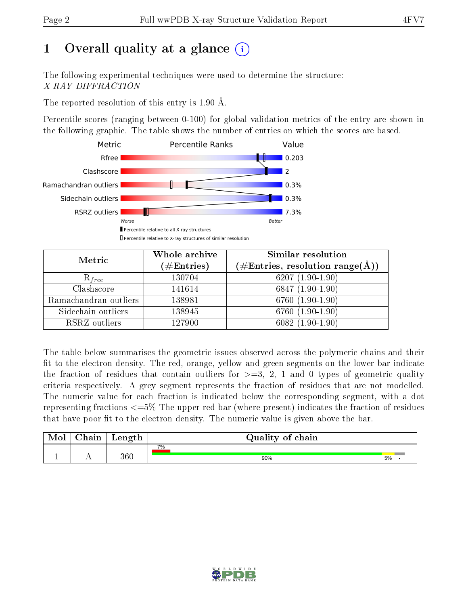# 1 [O](https://www.wwpdb.org/validation/2017/XrayValidationReportHelp#overall_quality)verall quality at a glance  $(i)$

The following experimental techniques were used to determine the structure: X-RAY DIFFRACTION

The reported resolution of this entry is 1.90 Å.

Percentile scores (ranging between 0-100) for global validation metrics of the entry are shown in the following graphic. The table shows the number of entries on which the scores are based.



| Metric                | Whole archive<br>$(\#\mathrm{Entries})$ | Similar resolution<br>$(\#\text{Entries},\,\text{resolution}\,\,\text{range}(\textup{\AA}))$ |
|-----------------------|-----------------------------------------|----------------------------------------------------------------------------------------------|
| $R_{free}$            | 130704                                  | $6207(1.90-1.90)$                                                                            |
| Clashscore            | 141614                                  | $6847(1.90-1.90)$                                                                            |
| Ramachandran outliers | 138981                                  | $6760(1.90-1.90)$                                                                            |
| Sidechain outliers    | 138945                                  | 6760 (1.90-1.90)                                                                             |
| RSRZ outliers         | 127900                                  | $6082(1.90-1.90)$                                                                            |

The table below summarises the geometric issues observed across the polymeric chains and their fit to the electron density. The red, orange, yellow and green segments on the lower bar indicate the fraction of residues that contain outliers for  $>=3, 2, 1$  and 0 types of geometric quality criteria respectively. A grey segment represents the fraction of residues that are not modelled. The numeric value for each fraction is indicated below the corresponding segment, with a dot representing fractions <=5% The upper red bar (where present) indicates the fraction of residues that have poor fit to the electron density. The numeric value is given above the bar.

| Mol | $\cap$ hain | Length  | Quality of chain |    |  |
|-----|-------------|---------|------------------|----|--|
|     |             |         | 7%               |    |  |
|     |             | $360\,$ | 90%              | 5% |  |

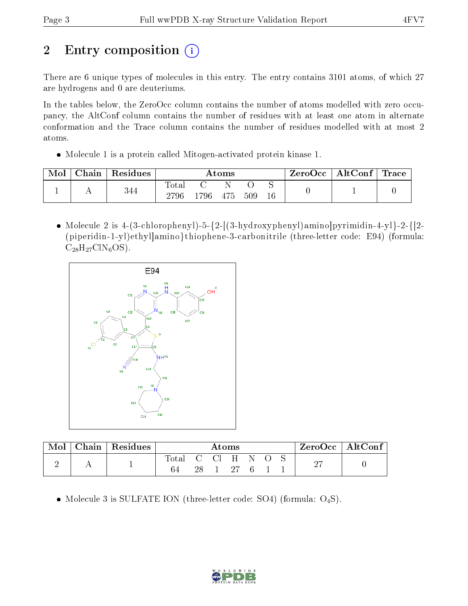# 2 Entry composition  $\left( \cdot \right)$

There are 6 unique types of molecules in this entry. The entry contains 3101 atoms, of which 27 are hydrogens and 0 are deuteriums.

In the tables below, the ZeroOcc column contains the number of atoms modelled with zero occupancy, the AltConf column contains the number of residues with at least one atom in alternate conformation and the Trace column contains the number of residues modelled with at most 2 atoms.

Molecule 1 is a protein called Mitogen-activated protein kinase 1.

| Mol | Chain | Residues | $\rm{Atoms}$         |       |     | $\text{ZeroOcc} \mid \text{AltConf} \mid \text{Trace}$ |    |  |  |
|-----|-------|----------|----------------------|-------|-----|--------------------------------------------------------|----|--|--|
|     |       | 344      | <b>Total</b><br>2796 | 1796- | 475 | 509                                                    | 16 |  |  |

• Molecule 2 is 4-(3-chlorophenyl)-5- $\{2-[3-hydroxyphenyl)$ amino $|pyr$ imidin-4-yl}-2- $\{[2-hydroxyphenyl]$ (piperidin-1-yl)ethyl]amino}thiophene-3-carbonitrile (three-letter code: E94) (formula:  $C_{28}H_{27}C1N_6OS$ ).



| Mol | Chain   Residues | Atoms |    |          |            | ZeroOcc | $\mid$ AltConf |    |  |
|-----|------------------|-------|----|----------|------------|---------|----------------|----|--|
|     |                  | Total |    | $C = C1$ | $_{\rm H}$ |         |                | ∩母 |  |
| -   |                  |       | 28 |          | - 27       | -6      |                | -  |  |

• Molecule 3 is SULFATE ION (three-letter code: SO4) (formula:  $O_4S$ ).

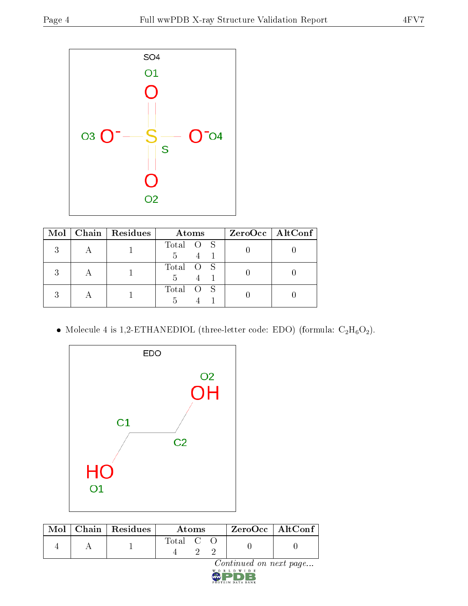

| Mol | $\vert$ Chain $\vert$ Residues | Atoms                                   | $ZeroOcc$   AltConf |
|-----|--------------------------------|-----------------------------------------|---------------------|
|     |                                | Total O S<br>.h                         |                     |
|     |                                | Total O S<br>.h                         |                     |
|     |                                | Total<br>$^{\circ}$ S<br>$\overline{O}$ |                     |

 $\bullet$  Molecule 4 is 1,2-ETHANEDIOL (three-letter code: EDO) (formula:  $\rm{C_2H_6O_2}).$ 



|  | $\text{Mol}$   Chain   Residues | <b>Atoms</b> |  | ZeroOcc   AltConf |  |  |
|--|---------------------------------|--------------|--|-------------------|--|--|
|  |                                 | Total C      |  |                   |  |  |

 $Continued on next page...$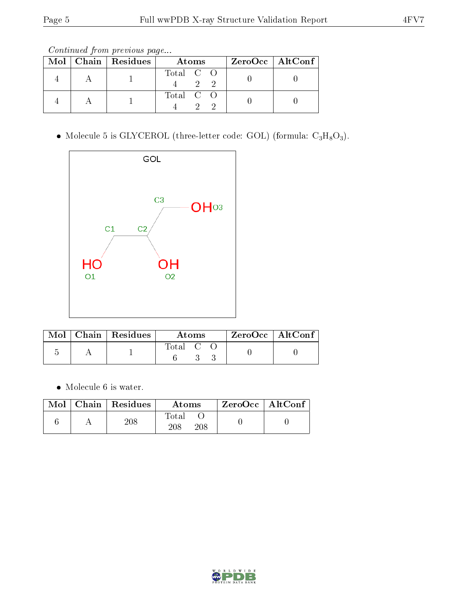Continued from previous page...

|  | Mol   Chain   Residues | Atoms     | $ZeroOcc \   \ AltConf$ |  |
|--|------------------------|-----------|-------------------------|--|
|  |                        | Total C O |                         |  |
|  |                        | Total C O |                         |  |

• Molecule 5 is GLYCEROL (three-letter code: GOL) (formula:  $C_3H_8O_3$ ).



|  | $_{\shortmid}$ Mol $\mid$ Chain $\mid$ Residues $^{+}$ | Atoms   |  | $ZeroOcc \mid AltConf \mid$ |  |  |
|--|--------------------------------------------------------|---------|--|-----------------------------|--|--|
|  |                                                        | Total C |  |                             |  |  |

Molecule 6 is water.

| Mol | $C$ hain   Residues | Atoms                   | $ZeroOcc$   AltConf |
|-----|---------------------|-------------------------|---------------------|
|     | 208                 | Total<br>208<br>$208\,$ |                     |

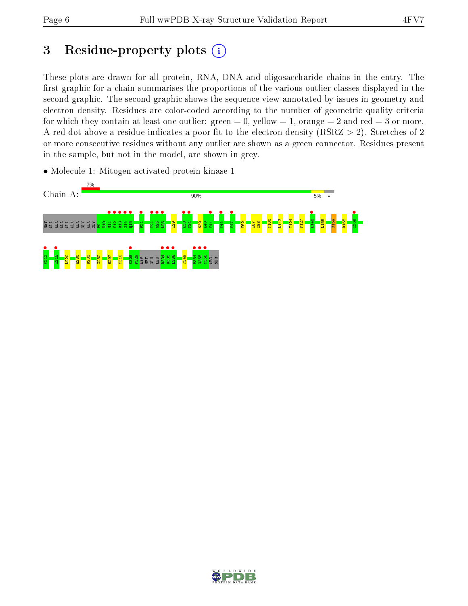# 3 Residue-property plots  $(i)$

These plots are drawn for all protein, RNA, DNA and oligosaccharide chains in the entry. The first graphic for a chain summarises the proportions of the various outlier classes displayed in the second graphic. The second graphic shows the sequence view annotated by issues in geometry and electron density. Residues are color-coded according to the number of geometric quality criteria for which they contain at least one outlier: green  $= 0$ , yellow  $= 1$ , orange  $= 2$  and red  $= 3$  or more. A red dot above a residue indicates a poor fit to the electron density ( $RSRZ > 2$ ). Stretches of 2 or more consecutive residues without any outlier are shown as a green connector. Residues present in the sample, but not in the model, are shown in grey.

• Molecule 1: Mitogen-activated protein kinase 1



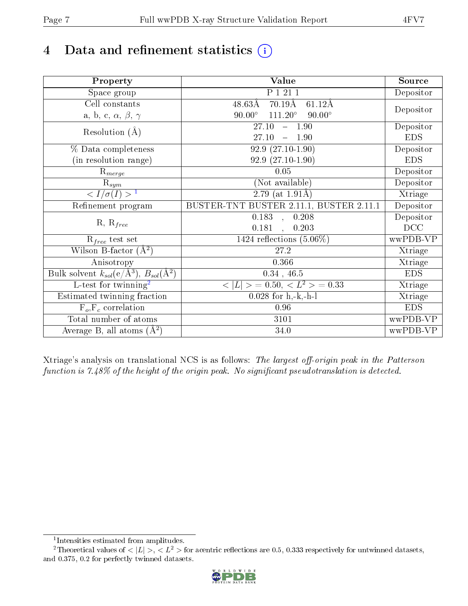# 4 Data and refinement statistics  $(i)$

| Property                                                             | Value                                                    | Source     |
|----------------------------------------------------------------------|----------------------------------------------------------|------------|
| Space group                                                          | P 1 21 1                                                 | Depositor  |
| Cell constants                                                       | $48.63\text{\AA}$<br>$70.19\text{\AA}$<br>$61.12\AA$     | Depositor  |
| a, b, c, $\alpha$ , $\beta$ , $\gamma$                               | $90.00^\circ$<br>$111.20^{\circ}$<br>$90.00^\circ$       |            |
| Resolution $(A)$                                                     | 27.10<br>1.90<br>$\equiv$                                | Depositor  |
|                                                                      | 27.10<br>1.90                                            | <b>EDS</b> |
| % Data completeness                                                  | $92.9(27.10-1.90)$                                       | Depositor  |
| (in resolution range)                                                | $92.9(27.10-1.90)$                                       | <b>EDS</b> |
| $R_{merge}$                                                          | 0.05                                                     | Depositor  |
| $\mathrm{R}_{sym}$                                                   | (Not available)                                          | Depositor  |
| $\sqrt{I/\sigma}(I) > 1$                                             | $\overline{2.79}$ (at 1.91Å)                             | Xtriage    |
| Refinement program                                                   | BUSTER-TNT BUSTER 2.11.1, BUSTER 2.11.1                  | Depositor  |
| $R, R_{free}$                                                        | 0.183<br>0.208<br>$\sim$                                 | Depositor  |
|                                                                      | 0.181<br>0.203<br>$\mathbf{A}$                           | DCC        |
| $R_{free}$ test set                                                  | 1424 reflections $(5.06\%)$                              | wwPDB-VP   |
| Wilson B-factor $(A^2)$                                              | 27.2                                                     | Xtriage    |
| Anisotropy                                                           | 0.366                                                    | Xtriage    |
| Bulk solvent $k_{sol}(e/\mathring{A}^3)$ , $B_{sol}(\mathring{A}^2)$ | $0.34$ , 46.5                                            | <b>EDS</b> |
| L-test for twinning <sup>2</sup>                                     | $\langle  L  \rangle = 0.50, \langle L^2 \rangle = 0.33$ | Xtriage    |
| Estimated twinning fraction                                          | $0.028$ for h,-k,-h-l                                    | Xtriage    |
| $F_o, F_c$ correlation                                               | 0.96                                                     | <b>EDS</b> |
| Total number of atoms                                                | $\overline{3}101$                                        | wwPDB-VP   |
| Average B, all atoms $(A^2)$                                         | 34.0                                                     | wwPDB-VP   |

Xtriage's analysis on translational NCS is as follows: The largest off-origin peak in the Patterson function is  $7.48\%$  of the height of the origin peak. No significant pseudotranslation is detected.

<sup>&</sup>lt;sup>2</sup>Theoretical values of  $\langle |L| \rangle$ ,  $\langle L^2 \rangle$  for acentric reflections are 0.5, 0.333 respectively for untwinned datasets, and 0.375, 0.2 for perfectly twinned datasets.



<span id="page-6-1"></span><span id="page-6-0"></span><sup>1</sup> Intensities estimated from amplitudes.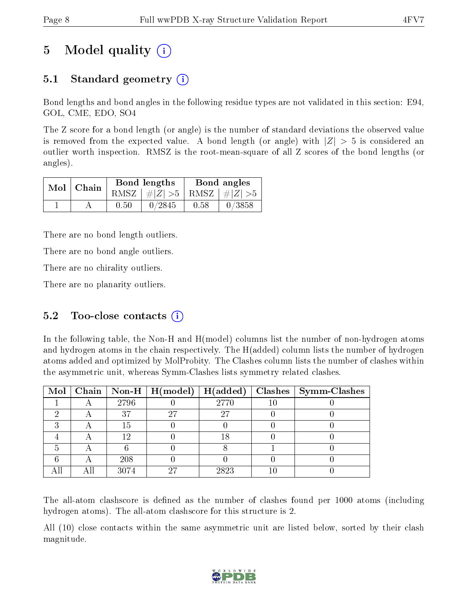# 5 Model quality  $(i)$

## 5.1 Standard geometry (i)

Bond lengths and bond angles in the following residue types are not validated in this section: E94, GOL, CME, EDO, SO4

The Z score for a bond length (or angle) is the number of standard deviations the observed value is removed from the expected value. A bond length (or angle) with  $|Z| > 5$  is considered an outlier worth inspection. RMSZ is the root-mean-square of all Z scores of the bond lengths (or angles).

| Bond lengths<br>$Mol$   Chain |      |                                 |      | Bond angles |
|-------------------------------|------|---------------------------------|------|-------------|
|                               |      | RMSZ $ #Z  > 5$ RMSZ $ #Z  > 5$ |      |             |
|                               | 0.50 | 0/2845                          | 0.58 | $-0/3858$   |

There are no bond length outliers.

There are no bond angle outliers.

There are no chirality outliers.

There are no planarity outliers.

### 5.2 Too-close contacts  $(i)$

In the following table, the Non-H and H(model) columns list the number of non-hydrogen atoms and hydrogen atoms in the chain respectively. The H(added) column lists the number of hydrogen atoms added and optimized by MolProbity. The Clashes column lists the number of clashes within the asymmetric unit, whereas Symm-Clashes lists symmetry related clashes.

|  |      | Mol   Chain   Non-H   $H (model)$   $H (added)$ |      | $Clashes$   Symm-Clashes |
|--|------|-------------------------------------------------|------|--------------------------|
|  | 2796 |                                                 | 2770 |                          |
|  | 37   | 27                                              | 27   |                          |
|  | 15   |                                                 |      |                          |
|  | 1 വ  |                                                 | 18   |                          |
|  |      |                                                 |      |                          |
|  | 208  |                                                 |      |                          |
|  | 3074 | 97                                              | 2823 |                          |

The all-atom clashscore is defined as the number of clashes found per 1000 atoms (including hydrogen atoms). The all-atom clashscore for this structure is 2.

All (10) close contacts within the same asymmetric unit are listed below, sorted by their clash magnitude.

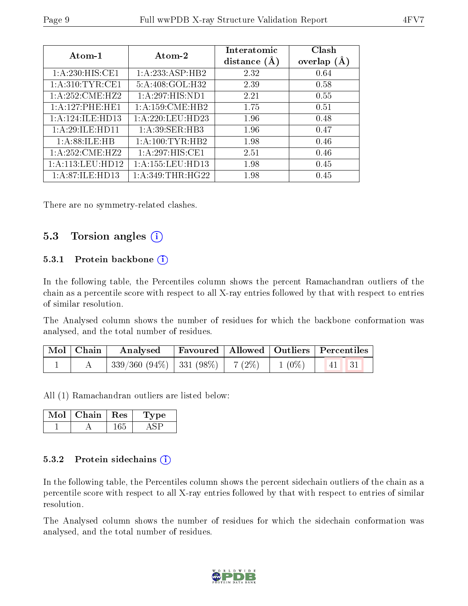| Atom-1               | Atom-2              | Interatomic<br>distance $(A)$ | Clash<br>overlap $(A)$ |
|----------------------|---------------------|-------------------------------|------------------------|
|                      |                     |                               |                        |
| 1: A:230:HIS:CE1     | 1: A: 233: ASP: HB2 | 2.32                          | 0.64                   |
| 1: A:310: TYR: CE1   | 5:A:408:GOL:H32     | 2.39                          | 0.58                   |
| 1: A:252: CME: HZ2   | 1:A:297:HIS:ND1     | 2.21                          | 0.55                   |
| 1:A:127:PHE:HE1      | 1: A:159: CME: HB2  | 1.75                          | 0.51                   |
| 1:A:124:ILE:HD13     | 1: A:220:LEU:HD23   | 1.96                          | 0.48                   |
| 1:A:29:ILE:HD11      | 1: A:39: SER: HB3   | 1.96                          | 0.47                   |
| 1: A:88: ILE: HB     | 1: A: 100: TYR: HB2 | 1.98                          | 0.46                   |
| 1: A:252: CME: HZ2   | 1:A:297:HIS:CE1     | 2.51                          | 0.46                   |
| 1: A: 113: LEU: HD12 | 1:A:155:LEU:HD13    | 1.98                          | 0.45                   |
| 1:A:87:ILE:HD13      | 1: A:349:THR:HG22   | 1.98                          | 0.45                   |

There are no symmetry-related clashes.

### 5.3 Torsion angles  $(i)$

#### 5.3.1 Protein backbone  $(i)$

In the following table, the Percentiles column shows the percent Ramachandran outliers of the chain as a percentile score with respect to all X-ray entries followed by that with respect to entries of similar resolution.

The Analysed column shows the number of residues for which the backbone conformation was analysed, and the total number of residues.

| $\mid$ Mol $\mid$ Chain $\mid$ | Analysed Favoured   Allowed   Outliers   Percentiles |  |               |
|--------------------------------|------------------------------------------------------|--|---------------|
|                                | 339/360 (94%)   331 (98%)   7 (2%)   1 (0%)          |  | $\vert$ 41 31 |

All (1) Ramachandran outliers are listed below:

| Chain   Res | Type |
|-------------|------|
|             |      |

#### 5.3.2 Protein sidechains  $(i)$

In the following table, the Percentiles column shows the percent sidechain outliers of the chain as a percentile score with respect to all X-ray entries followed by that with respect to entries of similar resolution.

The Analysed column shows the number of residues for which the sidechain conformation was analysed, and the total number of residues.

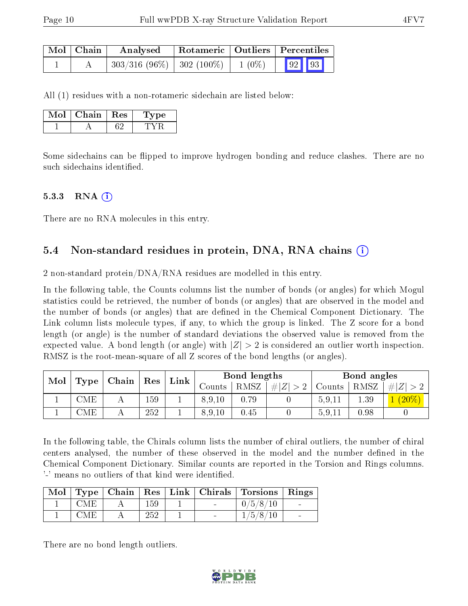| Mol   Chain | Analysed                                                                                 |  | Rotameric   Outliers   Percentiles |  |  |  |
|-------------|------------------------------------------------------------------------------------------|--|------------------------------------|--|--|--|
|             | $\left  303/316 \ (96\%) \ \right  \ 302 \ (100\%) \ \left  1 \ (0\%) \ \right  \ 92$ 93 |  |                                    |  |  |  |

All (1) residues with a non-rotameric sidechain are listed below:

| Chain | Res | рe |
|-------|-----|----|
|       |     |    |

Some sidechains can be flipped to improve hydrogen bonding and reduce clashes. There are no such sidechains identified.

#### $5.3.3$  RNA  $(i)$

There are no RNA molecules in this entry.

### 5.4 Non-standard residues in protein, DNA, RNA chains (i)

2 non-standard protein/DNA/RNA residues are modelled in this entry.

In the following table, the Counts columns list the number of bonds (or angles) for which Mogul statistics could be retrieved, the number of bonds (or angles) that are observed in the model and the number of bonds (or angles) that are defined in the Chemical Component Dictionary. The Link column lists molecule types, if any, to which the group is linked. The Z score for a bond length (or angle) is the number of standard deviations the observed value is removed from the expected value. A bond length (or angle) with  $|Z| > 2$  is considered an outlier worth inspection. RMSZ is the root-mean-square of all Z scores of the bond lengths (or angles).

| Mol |      | Chain   | Res | Link |                 | Bond lengths |        |        | Bond angles |   |
|-----|------|---------|-----|------|-----------------|--------------|--------|--------|-------------|---|
|     | Type |         |     |      | ounts –         | RMSZ         | Z<br># | Counts | RMSZ        | Z |
|     | CME  | $\pm$ 1 | 159 | ᆂ    | $.10\,$<br>8.9. | 0.79         |        | 5,9,11 | 1.39        |   |
|     | 'ME  |         | 252 |      | 8,9,10          | 0.45         |        | 5,9,11 | 0.98        |   |

In the following table, the Chirals column lists the number of chiral outliers, the number of chiral centers analysed, the number of these observed in the model and the number defined in the Chemical Component Dictionary. Similar counts are reported in the Torsion and Rings columns. '-' means no outliers of that kind were identified.

|      |     |  | Mol   Type   Chain   Res   Link   Chirals   Torsions   Rings |  |
|------|-----|--|--------------------------------------------------------------|--|
| CM E | 159 |  | 0/5/8/10                                                     |  |
| OM E | 252 |  | /5/8/10                                                      |  |

There are no bond length outliers.

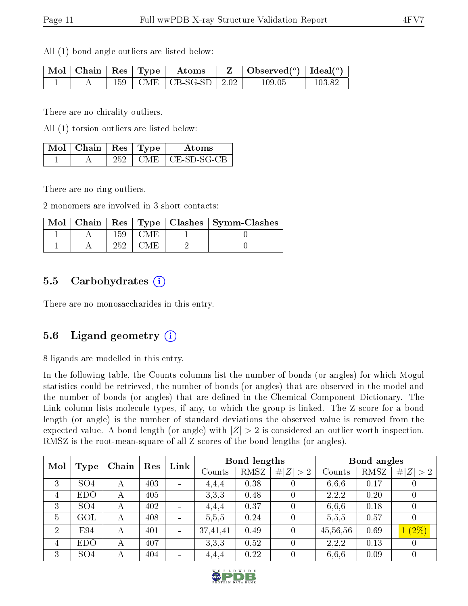All (1) bond angle outliers are listed below:

|  |  | $\mid$ Mol $\mid$ Chain $\mid$ Res $\mid$ Type $\mid$ Atoms | Observed $(^\circ)$   Ideal $(^\circ)$ |        |
|--|--|-------------------------------------------------------------|----------------------------------------|--------|
|  |  | $159$   CME   CB-SG-SD   2.02                               | $109.05\,$                             | 103.82 |

There are no chirality outliers.

All (1) torsion outliers are listed below:

| $\sqrt{\text{M}}$ ol   Chain   Res   Type ' |      | Atoms               |
|---------------------------------------------|------|---------------------|
|                                             | CME. | $\perp$ CE-SD-SG-CB |

There are no ring outliers.

2 monomers are involved in 3 short contacts:

|  |     |  | Mol   Chain   Res   Type   Clashes   Symm-Clashes |
|--|-----|--|---------------------------------------------------|
|  |     |  |                                                   |
|  | 252 |  |                                                   |

### 5.5 Carbohydrates (i)

There are no monosaccharides in this entry.

### 5.6 Ligand geometry  $(i)$

8 ligands are modelled in this entry.

In the following table, the Counts columns list the number of bonds (or angles) for which Mogul statistics could be retrieved, the number of bonds (or angles) that are observed in the model and the number of bonds (or angles) that are dened in the Chemical Component Dictionary. The Link column lists molecule types, if any, to which the group is linked. The Z score for a bond length (or angle) is the number of standard deviations the observed value is removed from the expected value. A bond length (or angle) with  $|Z| > 2$  is considered an outlier worth inspection. RMSZ is the root-mean-square of all Z scores of the bond lengths (or angles).

| Mol            |                 | Chain | Res | Link |          | Bond lengths |                  |          | Bond angles |                  |  |
|----------------|-----------------|-------|-----|------|----------|--------------|------------------|----------|-------------|------------------|--|
|                | <b>Type</b>     |       |     |      | Counts   | RMSZ         | # $ Z  > 2$      | Counts   | RMSZ        | Z  > 2           |  |
| 3              | SO <sub>4</sub> | А     | 403 |      | 4,4,4    | 0.38         |                  | 6,6,6    | 0.17        |                  |  |
| $\overline{4}$ | <b>EDO</b>      | А     | 405 |      | 3,3,3    | 0.48         |                  | 2,2,2    | 0.20        | $\theta$         |  |
| 3              | SO <sub>4</sub> | А     | 402 |      | 4.4,4    | 0.37         | $\left( \right)$ | 6,6,6    | 0.18        | $\overline{0}$   |  |
| $\overline{5}$ | $\rm GOL$       | А     | 408 |      | 5,5,5    | 0.24         |                  | 5,5,5    | 0.57        | $\left( \right)$ |  |
| $\overline{2}$ | E94             | А     | 401 |      | 37,41,41 | 0.49         | $\theta$         | 45,56,56 | 0.69        | $1(2\%)$         |  |
| $\overline{4}$ | <b>EDO</b>      | А     | 407 |      | 3,3,3    | 0.52         |                  | 2,2,2    | 0.13        | $\left( \right)$ |  |
| 3              | SO <sub>4</sub> | А     | 404 |      | 4,4,4    | 0.22         |                  | 6,6,6    | 0.09        | $\theta$         |  |

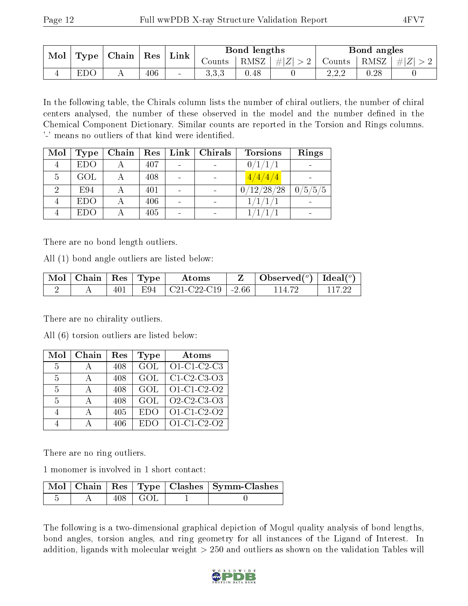| Mol | Type | $ $ Chain $ $ Res $ $ |     | $^{\shortmid}$ Link | Bond lengths |      |                       | Bond angles                                    |      |  |
|-----|------|-----------------------|-----|---------------------|--------------|------|-----------------------|------------------------------------------------|------|--|
|     |      |                       |     |                     | Counts i     |      | $ RMSZ  \#  Z  > 2  $ | $\vert$ Counts $\vert$ RMSZ $\vert \#  Z  > 2$ |      |  |
|     | EDC  |                       | 406 |                     | 3.3.3        | 0.48 |                       | ററ<br>$\Delta, \Delta, \Delta$                 | 0.28 |  |

In the following table, the Chirals column lists the number of chiral outliers, the number of chiral centers analysed, the number of these observed in the model and the number defined in the Chemical Component Dictionary. Similar counts are reported in the Torsion and Rings columns. '-' means no outliers of that kind were identified.

| Mol | Type       | Chain | Res | Link | <b>Chirals</b>               | <b>Torsions</b> | Rings   |
|-----|------------|-------|-----|------|------------------------------|-----------------|---------|
|     | <b>EDO</b> |       | 407 |      |                              | 0/1/1/1         |         |
| 5   | GOL        |       | 408 |      |                              | 4/4/4/4         |         |
|     | E94        |       | 401 |      | $\qquad \qquad \blacksquare$ | 0/12/28/28      | 0/5/5/5 |
|     | <b>EDO</b> |       | 406 |      | $\overline{\phantom{a}}$     |                 |         |
|     | <b>EDO</b> |       | 405 |      | $\qquad \qquad \blacksquare$ |                 |         |

There are no bond length outliers.

All (1) bond angle outliers are listed below:

| $\mid$ Mol $\mid$ Chain $\mid$ Res $\mid$ Type $\mid$ |     |      | Atoms                           | $\perp$ Observed( $^o$ )   Ideal( $^o$ ) |  |
|-------------------------------------------------------|-----|------|---------------------------------|------------------------------------------|--|
|                                                       | 401 | F.94 | $\mid$ C21-C22-C19 $\mid$ -2.66 | 114.72                                   |  |

There are no chirality outliers.

All (6) torsion outliers are listed below:

| Mol           | Chain | Res | <b>Type</b> | Atoms                                              |
|---------------|-------|-----|-------------|----------------------------------------------------|
| $\frac{5}{2}$ |       | 408 | GOL         | $O1-C1-C2-C3$                                      |
| 5             |       | 408 | GOL         | $C1-C2-C3-O3$                                      |
| 5             |       | 408 | GOL         | $\overline{O1-C1}$ -C <sub>2</sub> -O <sub>2</sub> |
| $\frac{5}{2}$ |       | 408 | GOL         | Q2-C2-C3-Q3                                        |
|               |       | 405 | <b>EDO</b>  | O1-C1-C2-O2                                        |
|               |       | 406 | ED(         | O1-C1-C2-O2                                        |

There are no ring outliers.

1 monomer is involved in 1 short contact:

|  |              | Mol   Chain   Res   Type   Clashes   Symm-Clashes |
|--|--------------|---------------------------------------------------|
|  | $-408$   GOL |                                                   |

The following is a two-dimensional graphical depiction of Mogul quality analysis of bond lengths, bond angles, torsion angles, and ring geometry for all instances of the Ligand of Interest. In addition, ligands with molecular weight > 250 and outliers as shown on the validation Tables will

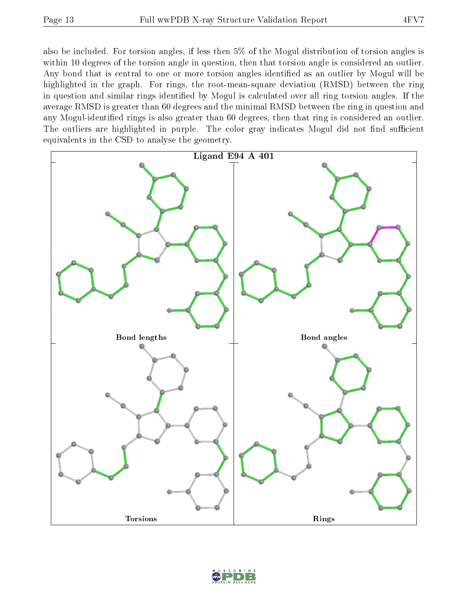also be included. For torsion angles, if less then 5% of the Mogul distribution of torsion angles is within 10 degrees of the torsion angle in question, then that torsion angle is considered an outlier. Any bond that is central to one or more torsion angles identified as an outlier by Mogul will be highlighted in the graph. For rings, the root-mean-square deviation (RMSD) between the ring in question and similar rings identified by Mogul is calculated over all ring torsion angles. If the average RMSD is greater than 60 degrees and the minimal RMSD between the ring in question and any Mogul-identified rings is also greater than 60 degrees, then that ring is considered an outlier. The outliers are highlighted in purple. The color gray indicates Mogul did not find sufficient equivalents in the CSD to analyse the geometry.



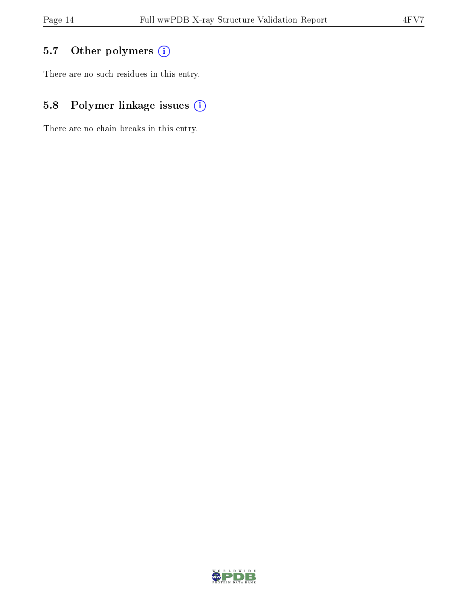## 5.7 [O](https://www.wwpdb.org/validation/2017/XrayValidationReportHelp#nonstandard_residues_and_ligands)ther polymers (i)

There are no such residues in this entry.

## 5.8 Polymer linkage issues (i)

There are no chain breaks in this entry.

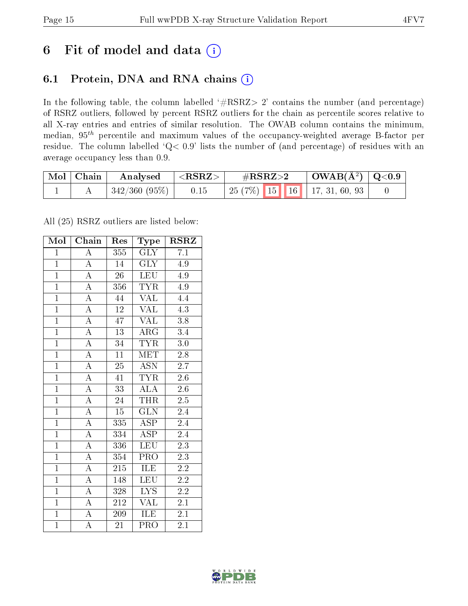## 6 Fit of model and data  $(i)$

### 6.1 Protein, DNA and RNA chains  $(i)$

In the following table, the column labelled  $#RSRZ> 2'$  contains the number (and percentage) of RSRZ outliers, followed by percent RSRZ outliers for the chain as percentile scores relative to all X-ray entries and entries of similar resolution. The OWAB column contains the minimum, median,  $95<sup>th</sup>$  percentile and maximum values of the occupancy-weighted average B-factor per residue. The column labelled ' $Q< 0.9$ ' lists the number of (and percentage) of residues with an average occupancy less than 0.9.

| $\mid$ Mol $\mid$ Chain | Analysed                    | $\langle {\rm \,RRZ}\rangle$ | $\#\text{RSRZ}\text{>2}$            | $\mid$ OWAB(Å <sup>2</sup> ) $\mid$ Q<0.9 |  |
|-------------------------|-----------------------------|------------------------------|-------------------------------------|-------------------------------------------|--|
|                         | $\mid$ 342/360 (95%) $\mid$ | 0.15                         | $\mid$ 25 (7%) 15 16 17, 31, 60, 93 |                                           |  |

All (25) RSRZ outliers are listed below:

| Mol            | Chain              | Res              | $_{\rm Type}$           | <b>RSRZ</b>      |
|----------------|--------------------|------------------|-------------------------|------------------|
| $\mathbf{1}$   | A                  | 355              | GLY                     | 7.1              |
| $\overline{1}$ | $\overline{\rm A}$ | 14               | <b>GLY</b>              | 4.9              |
| $\overline{1}$ | $\overline{A}$     | $\overline{26}$  | <b>LEU</b>              | 4.9              |
| $\overline{1}$ | $\overline{A}$     | 356              | <b>TYR</b>              | 4.9              |
| $\overline{1}$ | $\overline{A}$     | $\bf 44$         | <b>VAL</b>              | $\overline{4.4}$ |
| $\overline{1}$ | $\overline{\rm A}$ | $\overline{12}$  | <b>VAL</b>              | 4.3              |
| $\overline{1}$ | $\overline{\rm A}$ | 47               | <b>VAL</b>              | 3.8              |
| $\overline{1}$ | $\overline{A}$     | 13               | $\rm{ARG}$              | 3.4              |
| $\overline{1}$ | $\overline{A}$     | 34               | <b>TYR</b>              | 3.0              |
| $\overline{1}$ | $\overline{A}$     | $\overline{11}$  | <b>MET</b>              | $\overline{2.8}$ |
| $\overline{1}$ | $\overline{A}$     | 25               | $\overline{ASN}$        | 2.7              |
| $\overline{1}$ | $\overline{A}$     | $\overline{41}$  | <b>TYR</b>              | $\overline{2.6}$ |
| $\overline{1}$ | $\overline{\rm A}$ | $\overline{33}$  | $\overline{\rm ALA}$    | 2.6              |
| $\overline{1}$ | $\overline{A}$     | 24               | <b>THR</b>              | $\overline{2.5}$ |
| $\overline{1}$ | $\overline{A}$     | $\overline{15}$  | $\overline{\text{GLN}}$ | 2.4              |
| $\overline{1}$ | $\overline{A}$     | 335              | <b>ASP</b>              | 2.4              |
| $\overline{1}$ | $\overline{A}$     | 334              | $\overline{\text{ASP}}$ | $\overline{2.4}$ |
| $\overline{1}$ | $\overline{\rm A}$ | 336              | <b>LEU</b>              | $\overline{2.3}$ |
| $\overline{1}$ | $\overline{A}$     | 354              | PRO                     | $\overline{2.3}$ |
| $\overline{1}$ | $\overline{A}$     | 215              | ILE                     | $2.2\,$          |
| $\overline{1}$ | $\overline{A}$     | 148              | <b>LEU</b>              | $2.2\,$          |
| $\overline{1}$ | $\overline{\rm A}$ | 328              | $\overline{\text{LYS}}$ | 2.2              |
| $\overline{1}$ | $\overline{\rm A}$ | 212              | <b>VAL</b>              | 2.1              |
| $\overline{1}$ | $\overline{\rm A}$ | $\overline{209}$ | <b>ILE</b>              | 2.1              |
| $\mathbf{1}$   | A                  | 21               | PRO                     | 2.1              |

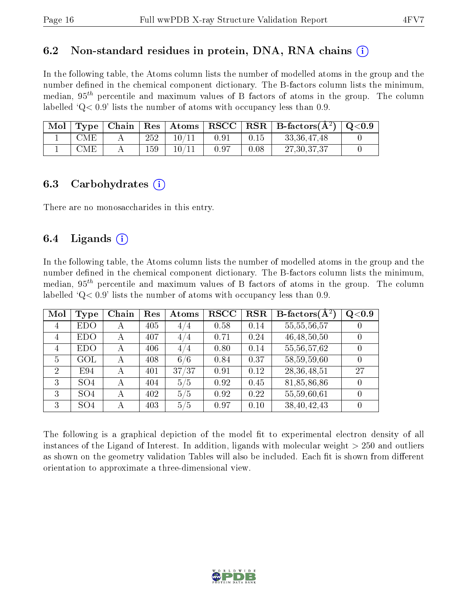#### 6.2 Non-standard residues in protein, DNA, RNA chains  $(i)$

In the following table, the Atoms column lists the number of modelled atoms in the group and the number defined in the chemical component dictionary. The B-factors column lists the minimum, median,  $95<sup>th</sup>$  percentile and maximum values of B factors of atoms in the group. The column labelled  $Q < 0.9$ ' lists the number of atoms with occupancy less than 0.9.

| Mol |              |     | $\top$ ype   Chain   Res   Atoms |      |      | $\mid \text{RSCC} \mid \text{RSR} \mid \text{B-factors}(\text{\AA}^2) \mid \text{Q<}0.9 \mid$ |  |
|-----|--------------|-----|----------------------------------|------|------|-----------------------------------------------------------------------------------------------|--|
|     | $_{\rm CME}$ | 252 | 10/11                            | 0.91 | 0.15 | 33, 36, 47, 48                                                                                |  |
|     | CME          | 159 | 10 /                             | 0.97 | 0.08 | 27, 30, 37, 37                                                                                |  |

#### 6.3 Carbohydrates (i)

There are no monosaccharides in this entry.

### 6.4 Ligands  $(i)$

In the following table, the Atoms column lists the number of modelled atoms in the group and the number defined in the chemical component dictionary. The B-factors column lists the minimum, median,  $95<sup>th</sup>$  percentile and maximum values of B factors of atoms in the group. The column labelled  $Q< 0.9$ ' lists the number of atoms with occupancy less than 0.9.

| Mol            | Type            | Chain | Res | Atoms    | <b>RSCC</b> | <b>RSR</b> | <b>B</b> -factors $\overline{(\mathbf{A}^2)}$ | Q <sub>0.9</sub> |
|----------------|-----------------|-------|-----|----------|-------------|------------|-----------------------------------------------|------------------|
| 4              | <b>EDO</b>      | А     | 405 | 4.<br>74 | 0.58        | 0.14       | 55, 55, 56, 57                                |                  |
| 4              | <b>EDO</b>      | А     | 407 | 4/4      | 0.71        | 0.24       | 46, 48, 50, 50                                |                  |
| $\overline{4}$ | <b>EDO</b>      | А     | 406 | 4/4      | 0.80        | 0.14       | 55,56,57,62                                   |                  |
| 5              | GOL             | А     | 408 | 6/6      | 0.84        | 0.37       | 58,59,59,60                                   |                  |
| $\overline{2}$ | E94             | А     | 401 | 37/37    | 0.91        | 0.12       | 28, 36, 48, 51                                | 27               |
| 3              | SO <sub>4</sub> | А     | 404 | 5/5      | 0.92        | 0.45       | 81,85,86,86                                   |                  |
| 3              | SO <sub>4</sub> | А     | 402 | 5/5      | 0.92        | 0.22       | 55,59,60,61                                   |                  |
| 3              | SO <sub>4</sub> |       | 403 | 5/5      | 0.97        | 0.10       | 38,40,42,43                                   |                  |

The following is a graphical depiction of the model fit to experimental electron density of all instances of the Ligand of Interest. In addition, ligands with molecular weight  $> 250$  and outliers as shown on the geometry validation Tables will also be included. Each fit is shown from different orientation to approximate a three-dimensional view.